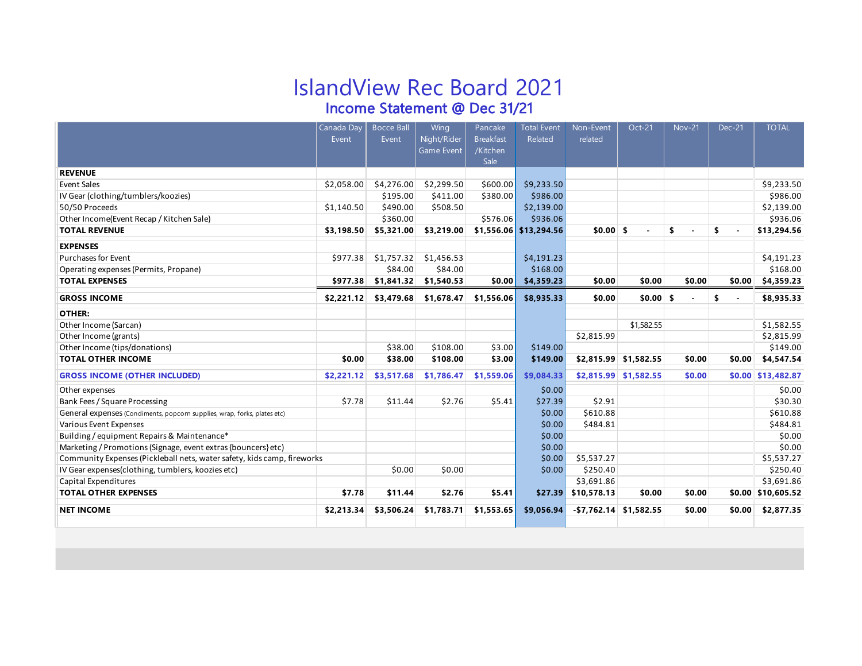# IslandView Rec Board 2021

Income Statement @ Dec 31/21

|                                                                          | Canada Day | <b>Bocce Ball</b> | Wing        | Pancake          | <b>Total Event</b>     | Non-Event                 | Oct-21                 | <b>Nov-21</b> | <b>Dec-21</b> | <b>TOTAL</b>        |
|--------------------------------------------------------------------------|------------|-------------------|-------------|------------------|------------------------|---------------------------|------------------------|---------------|---------------|---------------------|
|                                                                          | Event      | Event             | Night/Rider | <b>Breakfast</b> | Related                | related                   |                        |               |               |                     |
|                                                                          |            |                   | Game Event  | /Kitchen<br>Sale |                        |                           |                        |               |               |                     |
| <b>REVENUE</b>                                                           |            |                   |             |                  |                        |                           |                        |               |               |                     |
| <b>Event Sales</b>                                                       | \$2,058.00 | \$4,276.00        | \$2,299.50  | \$600.00         | \$9,233.50             |                           |                        |               |               | \$9,233.50          |
| IV Gear (clothing/tumblers/koozies)                                      |            | \$195.00          | \$411.00    | \$380.00         | \$986.00               |                           |                        |               |               | \$986.00            |
| 50/50 Proceeds                                                           | \$1,140.50 | \$490.00          | \$508.50    |                  | \$2,139.00             |                           |                        |               |               | \$2,139.00          |
| Other Income(Event Recap / Kitchen Sale)                                 |            | \$360.00          |             | \$576.06         | \$936.06               |                           |                        |               |               | \$936.06            |
| <b>TOTAL REVENUE</b>                                                     | \$3,198.50 | \$5,321.00        | \$3,219.00  |                  | \$1,556.06 \$13,294.56 | $$0.00$ \$                |                        | \$            | \$            | \$13,294.56         |
| <b>EXPENSES</b>                                                          |            |                   |             |                  |                        |                           |                        |               |               |                     |
| <b>Purchases for Event</b>                                               | \$977.38   | \$1,757.32        | \$1,456.53  |                  | \$4,191.23             |                           |                        |               |               | \$4,191.23          |
| Operating expenses (Permits, Propane)                                    |            | \$84.00           | \$84.00     |                  | \$168.00               |                           |                        |               |               | \$168.00            |
| <b>TOTAL EXPENSES</b>                                                    | \$977.38   | \$1,841.32        | \$1,540.53  | \$0.00           | \$4,359.23             | \$0.00                    | \$0.00                 | \$0.00        | \$0.00        | \$4,359.23          |
| <b>GROSS INCOME</b>                                                      | \$2,221.12 | \$3,479.68        | \$1,678.47  | \$1,556.06       | \$8,935.33             | \$0.00                    | $$0.00$ \$             |               | \$            | \$8,935.33          |
| OTHER:                                                                   |            |                   |             |                  |                        |                           |                        |               |               |                     |
| Other Income (Sarcan)                                                    |            |                   |             |                  |                        |                           | \$1,582.55             |               |               | \$1,582.55          |
| Other Income (grants)                                                    |            |                   |             |                  |                        | \$2,815.99                |                        |               |               | \$2,815.99          |
| Other Income (tips/donations)                                            |            | \$38.00           | \$108.00    | \$3.00           | \$149.00               |                           |                        |               |               | \$149.00            |
| <b>TOTAL OTHER INCOME</b>                                                | \$0.00     | \$38.00           | \$108.00    | \$3.00           | \$149.00               |                           | $$2,815.99$ \$1,582.55 | \$0.00        | \$0.00        | \$4,547.54          |
| <b>GROSS INCOME (OTHER INCLUDED)</b>                                     | \$2,221.12 | \$3,517.68        | \$1,786.47  | \$1,559.06       | \$9,084.33             |                           | $$2,815.99$ \$1,582.55 | \$0.00        |               | $$0.00$ \$13,482.87 |
| Other expenses                                                           |            |                   |             |                  | \$0.00                 |                           |                        |               |               | \$0.00              |
| Bank Fees / Square Processing                                            | \$7.78     | \$11.44           | \$2.76      | \$5.41           | \$27.39                | \$2.91                    |                        |               |               | \$30.30             |
| General expenses (Condiments, popcorn supplies, wrap, forks, plates etc) |            |                   |             |                  | \$0.00                 | \$610.88                  |                        |               |               | \$610.88            |
| Various Event Expenses                                                   |            |                   |             |                  | \$0.00                 | \$484.81                  |                        |               |               | \$484.81            |
| Building / equipment Repairs & Maintenance*                              |            |                   |             |                  | \$0.00                 |                           |                        |               |               | \$0.00              |
| Marketing / Promotions (Signage, event extras {bouncers} etc)            |            |                   |             |                  | \$0.00                 |                           |                        |               |               | \$0.00              |
| Community Expenses (Pickleball nets, water safety, kids camp, fireworks  |            |                   |             |                  | \$0.00                 | \$5,537.27                |                        |               |               | \$5,537.27          |
| IV Gear expenses(clothing, tumblers, koozies etc)                        |            | \$0.00            | \$0.00      |                  | \$0.00                 | \$250.40                  |                        |               |               | \$250.40            |
| Capital Expenditures                                                     |            |                   |             |                  |                        | \$3,691.86                |                        |               |               | \$3,691.86          |
| <b>TOTAL OTHER EXPENSES</b>                                              | \$7.78     | \$11.44           | \$2.76      | \$5.41           | \$27.39                | \$10,578.13               | \$0.00                 | \$0.00        |               | $$0.00$ \$10,605.52 |
| <b>NET INCOME</b>                                                        | \$2,213.34 | \$3,506.24        | \$1,783.71  | \$1,553.65       | \$9,056.94             | $-$ \$7,762.14 \$1,582.55 |                        | \$0.00        | \$0.00        | \$2,877.35          |
|                                                                          |            |                   |             |                  |                        |                           |                        |               |               |                     |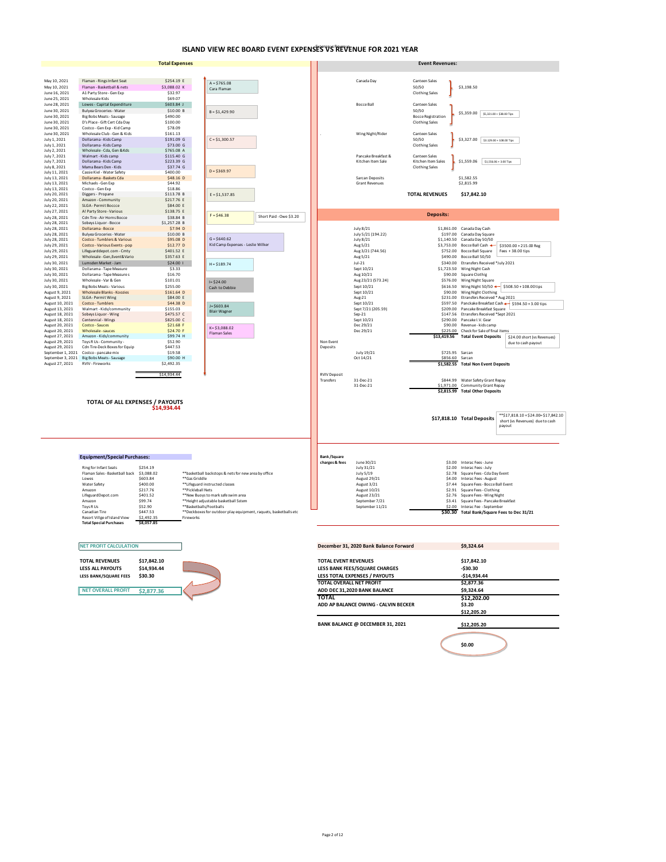#### **ISLAND VIEW REC BOARD EVENT EXPENSES VS REVENUE FOR 2021 YEAR**

|                                    |                                                                       | <b>Total Expenses</b>     |                   |                                                                            |                         |                                  |                                        | <b>Event Revenues:</b>             |                                                                           |                                                                           |
|------------------------------------|-----------------------------------------------------------------------|---------------------------|-------------------|----------------------------------------------------------------------------|-------------------------|----------------------------------|----------------------------------------|------------------------------------|---------------------------------------------------------------------------|---------------------------------------------------------------------------|
|                                    |                                                                       |                           |                   |                                                                            |                         |                                  |                                        |                                    |                                                                           |                                                                           |
| May 10, 2021                       | Flaman - Rings Infant Seat                                            | \$254.19 E                |                   | $A = $765.08$                                                              |                         |                                  | Canada Dav                             | <b>Canteen Sales</b>               | \$3,198.50                                                                |                                                                           |
| May 10, 2021<br>June 16, 2021      | Flaman - Basketball & nets<br>A1 Party Store - Gen Exp                | \$3,088.02 K<br>\$32.97   |                   | Cara Flaman                                                                |                         |                                  |                                        | 50/50<br>Clothing Sales            |                                                                           |                                                                           |
| June 25, 2021                      | Wholesale Kids                                                        | \$69.07                   |                   |                                                                            |                         |                                  |                                        |                                    |                                                                           |                                                                           |
| June 28, 2021                      | Lowes - Capital Expenditure                                           | \$603.84 J                |                   |                                                                            |                         |                                  | <b>Bocce Ball</b>                      | Canteen Sales                      |                                                                           |                                                                           |
| June 30, 2021<br>June 30, 2021     | <b>Bulyea Groceries - Water</b><br>Big Bobs Meats - Sausage           | \$10.00 B<br>\$490.00     |                   | $B = $1,429.90$                                                            |                         |                                  |                                        | 50/50<br><b>Bocce Registration</b> | \$5,359.00 \$5,321.00 + \$38.00 Tips                                      |                                                                           |
| June 30, 2021                      | D's Place - Gift Cert Cda Day                                         | \$100.00                  |                   |                                                                            |                         |                                  |                                        | <b>Clothing Sales</b>              |                                                                           |                                                                           |
| June 30, 2021                      | Costco - Gen Exp - Kid Camp                                           | \$78.09                   |                   |                                                                            |                         |                                  |                                        |                                    |                                                                           |                                                                           |
| June 30, 2021<br>July 1, 2021      | Wholesale Club - Gen & Kids<br>Dollarama - Kids Camp                  | \$161.13<br>\$191.09 G    |                   | $C = $1,300.57$                                                            |                         |                                  | Wing Night/Rider                       | Canteen Sales<br>50/50             | $$3,327.00$ $$3.129.00 + 108.00$ Tips                                     |                                                                           |
| July 1, 2021                       | Dollarama - Kids Camp                                                 | \$73.00 G                 |                   |                                                                            |                         |                                  |                                        | <b>Clothing Sales</b>              |                                                                           |                                                                           |
| July 2, 2021<br>July 7, 2021       | Wholesale - Cda, Gen & Kds<br>Walmart - Kids camp                     | \$765.08 A<br>\$115.40 G  |                   |                                                                            |                         |                                  | Pancake Breakfast &                    | Canteen Sales                      |                                                                           |                                                                           |
| July 7, 2021                       | Dollarama - Kids Camp                                                 | \$223.39 G                |                   |                                                                            |                         |                                  | Kitchen Item Sale                      | Kitchen Item Sales                 | $$1,559.06$   \$1,556.06 + 3.00 Tips                                      |                                                                           |
| July 8, 2021<br>July 11, 2021      | Mama Bears Den - Kids<br>Cassie Kiel - Water Safety                   | \$37.74 G<br>\$400.00     |                   | $D = $369.97$                                                              |                         |                                  |                                        | <b>Clothing Sales</b>              |                                                                           |                                                                           |
| July 13, 2021                      | Dollarama - Baskets Cda                                               | \$48.16 D                 |                   |                                                                            |                         |                                  | Sarcan Deposits                        |                                    | \$1.582.55                                                                |                                                                           |
| July 13, 2021<br>July 13, 2021     | Michaels - Gen Exp<br>Costco - Gen Exp                                | \$44.92<br>\$18.86        |                   |                                                                            |                         |                                  | <b>Grant Revenues</b>                  |                                    | \$2,815.99                                                                |                                                                           |
| July 20, 2021                      | Diggers - Propane                                                     | \$113.78 B                |                   | $E = $1.537.85$                                                            |                         |                                  |                                        | <b>TOTAL REVENUES</b>              | \$17,842.10                                                               |                                                                           |
| July 20, 2021                      | Amazon - Community                                                    | \$217.76 E                |                   |                                                                            |                         |                                  |                                        |                                    |                                                                           |                                                                           |
| July 22, 2021<br>July 27, 2021     | SLGA - Permit Boccce<br>A! Party Store - Various                      | \$84.00 E<br>\$138.75 E   |                   |                                                                            |                         |                                  |                                        |                                    |                                                                           |                                                                           |
| July 28, 2021                      | Cdn Tire - Air Horns Bocce                                            | \$38.84 B                 |                   | $F = $46.38$                                                               | Short Paid - Owe \$3.20 |                                  |                                        | <b>Deposits:</b>                   |                                                                           |                                                                           |
| July 28, 2021<br>July 28, 2021     | Sobeys Liquor - Bocce<br>Dollarama - Bocce                            | \$1,257.28 B<br>$$7.94$ D |                   |                                                                            |                         |                                  | July 8/21                              |                                    | \$1.861.00 Canada Day Cash                                                |                                                                           |
| July 28, 2021                      | <b>Bulyea Groceries - Water</b>                                       | \$10.00B                  |                   |                                                                            |                         |                                  | July 5/21 (194.22)                     | \$197.00                           | Canada Day Square                                                         |                                                                           |
| July 28, 2021                      | <b>Costco - Tumblers &amp; Various</b>                                | \$95.08 D                 |                   | $G = $640.62$                                                              |                         |                                  | July 8/21                              | \$1,140.50                         | Canada Day 50/50                                                          |                                                                           |
| July 29, 2021<br>July 29, 2021     | Costco - Various Events - pop<br>Lifeguarddepot.com - Cmty            | \$12.77D<br>\$401.52 E    |                   | Kid Camp Expenses - Leslie Wilker                                          |                         |                                  | Aug 5/21<br>Aug 3/21 (744.56)          | \$3,753.00                         | Bocce Ball Cash +<br>\$752.00 Bocce Ball Square                           | \$3500.00 + 215.00 Reg<br>Fees $+38.00$ tips                              |
| July 29, 2021                      | Wholesale - Gen, Event& Vario                                         | \$357.63 E                |                   |                                                                            |                         |                                  | Aug 5/21                               | \$490.00                           | Bocce Ball 50/50                                                          |                                                                           |
| July 30, 2021                      | Lumsden Market - Jam                                                  | \$24.00                   |                   | $H = $189.74$                                                              |                         |                                  | $Jul-21$                               |                                    | \$340.00 Etransfers Received *July 2021                                   |                                                                           |
| July 30, 2021<br>July 30, 2021     | Dollarama - Tape Measure<br>Dollarama - Tape Measure s                | \$3.33<br>\$16.70         |                   |                                                                            |                         |                                  | Sept 10/21<br>Aug 10/21                | \$1,723.50                         | Wing Night Cash<br>\$90.00 Square Clothig                                 |                                                                           |
| July 30, 2021                      | Wholesale - Var & Gen                                                 | \$101.01                  |                   | $I = $24.00$                                                               |                         |                                  | Aug 23/21 (573.24)                     | \$576.00                           | Wing Night Square                                                         |                                                                           |
| July 30, 2021                      | <b>Big Bobs Meats - Various</b>                                       | \$255.00                  |                   | Cash to Debbie                                                             |                         |                                  | Sept 10/21                             |                                    |                                                                           | \$616.50 Wing Night 50/50 <= \$508.50 + 108.00tips                        |
| August 9, 2021<br>August 9, 2021   | Wholesale Blanks - Koozies<br>SLGA - Permit Wing                      | \$161.64 D<br>\$84.00 E   |                   |                                                                            |                         |                                  | Sept 10/21<br>Aug-21                   | \$231.00                           | \$90.00 Wing Night Clothing<br>Etransfers Received * Aug 2021             |                                                                           |
| August 10, 2021                    | Costco - Tumblers                                                     | \$44.38 D                 |                   | $J = $603.84$                                                              |                         |                                  | Sept 10/21                             |                                    |                                                                           | \$597.50 Panckake Breakfast Cash + \$594.50 + 3.00 tips                   |
| August 13, 2021<br>August 18, 2021 | Walmart - Kids/community<br>Sobeys Liquor - Wing                      | \$155.03<br>\$475.57 C    |                   | <b>Blair Wagner</b>                                                        |                         |                                  | Sept 7/21 (205.59)<br>$Sep-21$         | \$147.56                           | \$209.00 Pancake Breakfast Square<br>Etransfers Received *Sept 2021       |                                                                           |
| August 18, 2021                    | Centennial - Wings                                                    | \$825.00 C                |                   |                                                                            |                         |                                  | Sept 10/21                             | \$290.00                           | Pancake I.V. Gear                                                         |                                                                           |
| August 20, 2021<br>August 20, 2021 | Costco - Sauces<br>Wholesale - sauces                                 | \$21.68 F<br>\$24,70 F    |                   | K=\$3,088.02                                                               |                         |                                  | Dec 29/21<br>Dec 29/21                 | \$90.00<br>\$225.00                | Revenue - kids camp<br>Check for Sale of final items                      |                                                                           |
| August 27, 2021                    | Amazon - Kids/community                                               | \$99.74 H                 |                   | <b>Flaman Sales</b>                                                        |                         |                                  |                                        | \$13,419.56                        | <b>Total Event Deposits</b>                                               | \$24.00 short (vs Revenues)                                               |
| August 29, 2021<br>August 29, 2021 | Toys R Us - Community -<br>Cdn Tire-Deck Boxes for Equip              | \$52.90<br>\$447.53       |                   |                                                                            |                         | Non Event<br>Deposits            |                                        |                                    |                                                                           | due to cash payout                                                        |
| September 1, 2021                  | Costco - pancake mix                                                  | \$19.58                   |                   |                                                                            |                         |                                  | July 19/21                             | \$725.95 Sarcan                    |                                                                           |                                                                           |
|                                    | September 3, 2021 Big Bobs Meats - Sausage<br><b>RVIV - Fireworks</b> | \$90.00 H                 |                   |                                                                            |                         |                                  | Oct 14/21                              | \$856.60                           | Sarcan                                                                    |                                                                           |
| August 27, 2021                    |                                                                       | \$2,492.35                |                   |                                                                            |                         |                                  |                                        |                                    | \$1,582.55 Total Non Event Deposits                                       |                                                                           |
|                                    |                                                                       | \$14,934.44               |                   |                                                                            |                         | <b>RVIV Deposit</b><br>Transfers | 31-Dec-21                              |                                    | \$844.99 Water Safety Grant Repay                                         |                                                                           |
|                                    |                                                                       |                           |                   |                                                                            |                         |                                  | 31-Dec-21                              |                                    | \$1,971.00 Community Grant Repay                                          |                                                                           |
|                                    |                                                                       |                           |                   |                                                                            |                         |                                  |                                        |                                    | \$2.815.99 Total Other Deposits                                           |                                                                           |
|                                    | TOTAL OF ALL EXPENSES / PAYOUTS                                       |                           |                   |                                                                            |                         |                                  |                                        |                                    |                                                                           |                                                                           |
|                                    |                                                                       | \$14,934.44               |                   |                                                                            |                         |                                  |                                        |                                    |                                                                           |                                                                           |
|                                    |                                                                       |                           |                   |                                                                            |                         |                                  |                                        |                                    | \$17,818.10 Total Deposits                                                | ** \$17,818.10 + \$24.00 = \$17,842.10<br>short (vs Revenues) due to cash |
|                                    |                                                                       |                           |                   |                                                                            |                         |                                  |                                        |                                    |                                                                           | payout                                                                    |
|                                    |                                                                       |                           |                   |                                                                            |                         |                                  |                                        |                                    |                                                                           |                                                                           |
|                                    |                                                                       |                           |                   |                                                                            |                         |                                  |                                        |                                    |                                                                           |                                                                           |
|                                    |                                                                       |                           |                   |                                                                            |                         |                                  |                                        |                                    |                                                                           |                                                                           |
|                                    | <b>Equipment/Special Purchases:</b>                                   |                           |                   |                                                                            |                         | <b>Bank/Square</b>               |                                        |                                    |                                                                           |                                                                           |
|                                    | <b>Ring for Infant Seats</b>                                          | \$254.19                  |                   |                                                                            |                         | charges & fees                   | June 30/21<br>July 31/21               |                                    | \$3.00 Interac Fees - June<br>\$2.00 Interac Fees - July                  |                                                                           |
|                                    | Flaman Sales - Basketball back                                        | \$3,088.02                |                   | **basketball backstops & nets for new area by office                       |                         |                                  | July 5/19                              | \$2.78                             | Square Fees - Cda Day Event                                               |                                                                           |
|                                    | Lowes<br>Water Safety                                                 | \$603.84<br>\$400.00      | **Gas Griddle     | **Lifeguard instructed classes                                             |                         |                                  | August 29/21<br>August 3/21            | \$4.00<br>\$7.44                   | Interac Fees - August<br>Square Fees - Bocce Ball Event                   |                                                                           |
|                                    | Amazon                                                                | \$217.76                  | **Pickleball Nets |                                                                            |                         |                                  | August 10/21                           |                                    | \$2.91 Square Fees - Clothing                                             |                                                                           |
|                                    | LifeguardDepot.com<br>Amazon                                          | \$401.52<br>\$99.74       |                   | **New Buoys to mark safe swim area<br>**Height adjustable basketball Sstem |                         |                                  | August 23/21<br>September 7/21         |                                    | \$2.76 Square Fees - Wing Night<br>\$3.41 Square Fees - Pancake Breakfast |                                                                           |
|                                    | Toys R Us                                                             | \$52.90                   |                   | **Basketballs/Footballs                                                    |                         |                                  | September 11/21                        | \$2.00                             | Interac Fee - September                                                   |                                                                           |
|                                    | Canadian Tire<br>Resort Villge of Island View                         | \$447.53<br>\$2,492.3     | Fireworks         | **Deckboxes for outdoor play equipment, raquets, basketballs etc           |                         |                                  |                                        |                                    | \$30.30 Total Bank/Square Fees to Dec 31/21                               |                                                                           |
|                                    | <b>Total Special Purchases</b>                                        | \$8,057.85                |                   |                                                                            |                         |                                  |                                        |                                    |                                                                           |                                                                           |
|                                    |                                                                       |                           |                   |                                                                            |                         |                                  |                                        |                                    |                                                                           |                                                                           |
|                                    |                                                                       |                           |                   |                                                                            |                         |                                  |                                        |                                    |                                                                           |                                                                           |
|                                    | <b>NET PROFIT CALCULATION</b>                                         |                           |                   |                                                                            |                         |                                  | December 31, 2020 Bank Balance Forward |                                    | \$9,324.64                                                                |                                                                           |
|                                    | <b>TOTAL REVENUES</b>                                                 | \$17,842.10               |                   |                                                                            |                         | <b>TOTAL EVENT REVENUES</b>      |                                        |                                    | \$17,842.10                                                               |                                                                           |
|                                    | <b>LESS ALL PAYOUTS</b>                                               | \$14,934.44               |                   |                                                                            |                         |                                  | <b>LESS BANK FEES/SQUARE CHARGES</b>   |                                    | $-530.30$                                                                 |                                                                           |
|                                    | LESS BANK/SQUARE FEES                                                 | \$30.30                   |                   |                                                                            |                         |                                  | LESS TOTAL EXPENSES / PAYOUTS          |                                    | $-$14,934.44$                                                             |                                                                           |
|                                    |                                                                       |                           |                   |                                                                            |                         | TOTAL OVERALL NET PROFIT         |                                        |                                    | \$2,877.36                                                                |                                                                           |
|                                    | <b>NET OVERALL PROFIT</b>                                             | \$2,877.36                |                   |                                                                            |                         |                                  | ADD DEC 31,2020 BANK BALANCE           |                                    | \$9,324.64                                                                |                                                                           |
|                                    |                                                                       |                           |                   |                                                                            |                         | <b>TOTAL</b>                     |                                        |                                    | \$12,202.00                                                               |                                                                           |
|                                    |                                                                       |                           |                   |                                                                            |                         |                                  | ADD AP BALANCE OWING - CALVIN BECKER   |                                    | \$3.20                                                                    |                                                                           |
|                                    |                                                                       |                           |                   |                                                                            |                         |                                  |                                        |                                    | \$12,205.20                                                               |                                                                           |

**\$0.00**

**\$12,205.20**

**BANK BALANCE @ DECEMBER 31, 2021**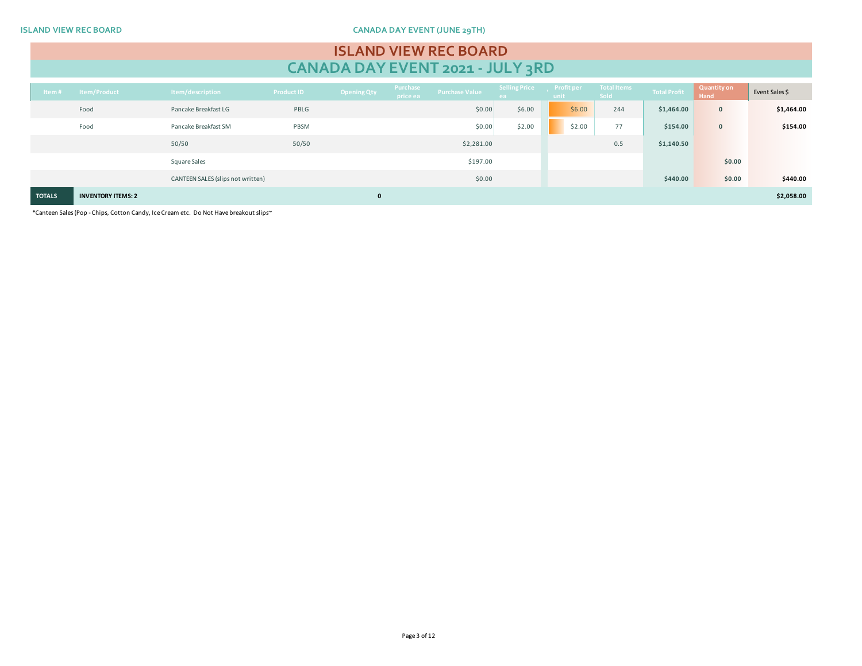**ISLAND VIEW REC BOARD CANADA DAY EVENT (JUNE 29TH)**

# **ISLAND VIEW REC BOARD CANADA DAY EVENT 2021 - JULY 3RD**

| $4$ tem #     | Item/Product              | Item/description                  | <b>Product ID</b> | <b>Opening Qty</b> | Purchase<br>price ea | Purchase Value | Selling Price Profit per<br>ea. | unit |        | <b>Example Total Items</b><br>Sold | <b>Total Profit</b> | Quantity on<br>Hand | Event Sales \$ |
|---------------|---------------------------|-----------------------------------|-------------------|--------------------|----------------------|----------------|---------------------------------|------|--------|------------------------------------|---------------------|---------------------|----------------|
|               | Food                      | Pancake Breakfast LG              | PBLG              |                    |                      | \$0.00         | \$6.00                          |      | \$6.00 | 244                                | \$1,464.00          | $\mathbf 0$         | \$1,464.00     |
|               | Food                      | Pancake Breakfast SM              | PBSM              |                    |                      | \$0.00         | \$2.00                          |      | \$2.00 | 77                                 | \$154.00            | $\mathbf 0$         | \$154.00       |
|               |                           | 50/50                             | 50/50             |                    |                      | \$2,281.00     |                                 |      |        | 0.5                                | \$1,140.50          |                     |                |
|               |                           | Square Sales                      |                   |                    |                      | \$197.00       |                                 |      |        |                                    |                     | \$0.00              |                |
|               |                           | CANTEEN SALES (slips not written) |                   |                    |                      | \$0.00         |                                 |      |        |                                    | \$440.00            | \$0.00              | \$440.00       |
| <b>TOTALS</b> | <b>INVENTORY ITEMS: 2</b> |                                   |                   | 0                  |                      |                |                                 |      |        |                                    |                     |                     | \$2,058.00     |

\*Canteen Sales (Pop - Chips, Cotton Candy, Ice Cream etc. Do Not Have breakout slips~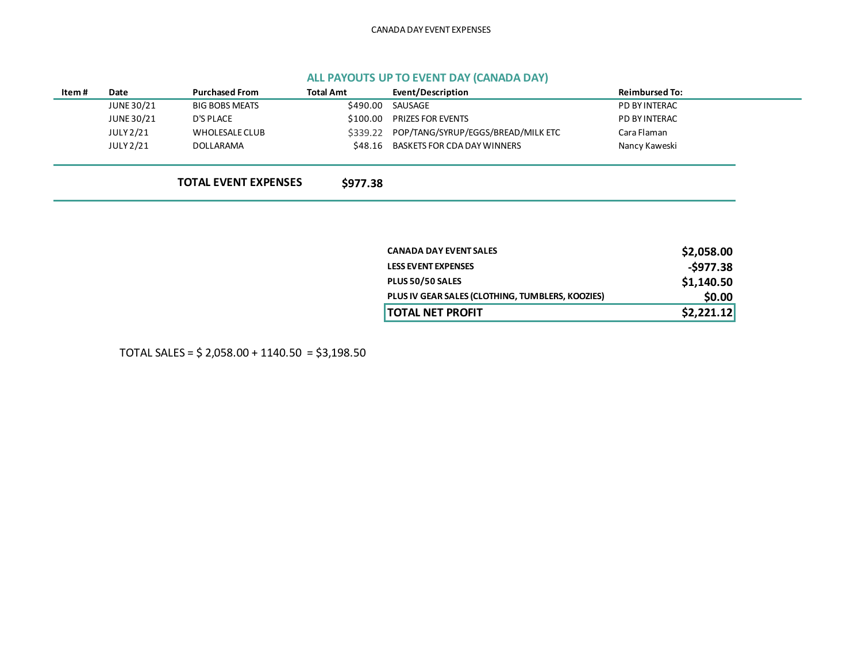# **ALL PAYOUTS UP TO EVENT DAY (CANADA DAY)**

| Item# | Date       | <b>Purchased From</b>       | <b>Total Amt</b> | Event/Description                  | <b>Reimbursed To:</b> |
|-------|------------|-----------------------------|------------------|------------------------------------|-----------------------|
|       | JUNE 30/21 | <b>BIG BOBS MEATS</b>       | \$490.00         | SAUSAGE                            | PD BY INTERAC         |
|       | JUNE 30/21 | D'S PLACE                   | \$100.00         | <b>PRIZES FOR EVENTS</b>           | PD BY INTERAC         |
|       | JULY 2/21  | WHOLESALE CLUB              | \$339.22         | POP/TANG/SYRUP/EGGS/BREAD/MILK ETC | Cara Flaman           |
|       | JULY 2/21  | DOLLARAMA                   | \$48.16          | BASKETS FOR CDA DAY WINNERS        | Nancy Kaweski         |
|       |            |                             |                  |                                    |                       |
|       |            | <b>TOTAL EVENT EXPENSES</b> | \$977.38         |                                    |                       |
|       |            |                             |                  |                                    |                       |

| <b>CANADA DAY EVENT SALES</b>                    | \$2,058.00 |
|--------------------------------------------------|------------|
| <b>LESS EVENT EXPENSES</b>                       | $-5977.38$ |
| PLUS 50/50 SALES                                 | \$1,140.50 |
| PLUS IV GEAR SALES (CLOTHING, TUMBLERS, KOOZIES) | \$0.00     |
| <b>TOTAL NET PROFIT</b>                          | \$2,221.12 |

TOTAL SALES = \$ 2,058.00 + 1140.50 = \$3,198.50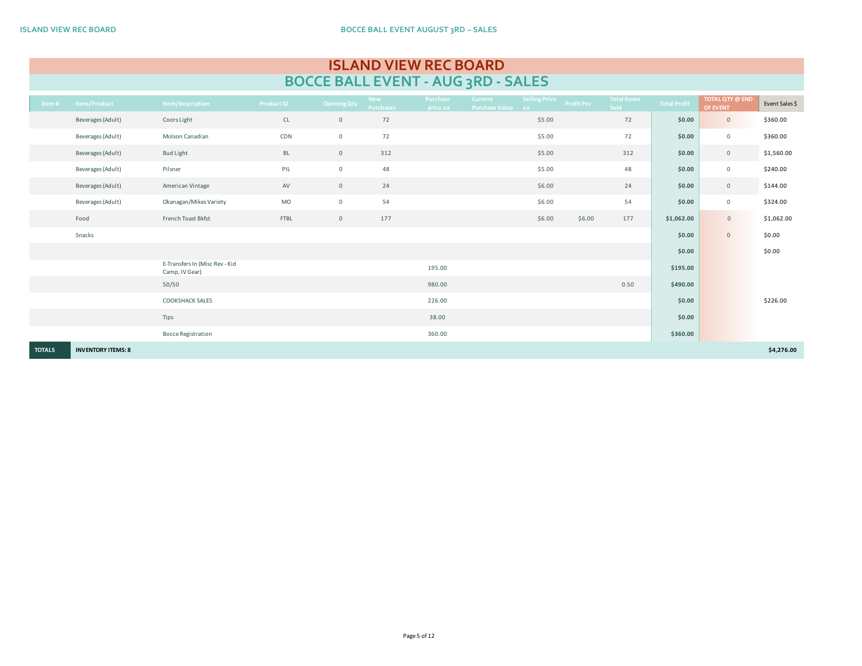|                                    | <b>ISLAND VIEW REC BOARD</b> |  |
|------------------------------------|------------------------------|--|
| BOCCE BALL EVENT - AUG 3RD - SALES |                              |  |

| Item#         | Item/Product              | Item/description                                 | <b>Product ID</b> | Opening Qty    | <b>New</b><br>Purchases | Purchase<br>price ea | <b>Current</b><br>Purchase Value ea | Selling Price | <b>Profit Per</b> | Total Items<br>Sold | <b>Total Profit</b> | <b>TOTAL QTY @ END</b><br>OF EVENT | Event Sales \$ |
|---------------|---------------------------|--------------------------------------------------|-------------------|----------------|-------------------------|----------------------|-------------------------------------|---------------|-------------------|---------------------|---------------------|------------------------------------|----------------|
|               | Beverages (Adult)         | Coors Light                                      | CL                | $\mathsf{O}$   | 72                      |                      |                                     | \$5.00        |                   | 72                  | \$0.00              | $\mathsf{O}\xspace$                | \$360.00       |
|               | Beverages (Adult)         | Molson Canadian                                  | CDN               | $\overline{0}$ | 72                      |                      |                                     | \$5.00        |                   | 72                  | \$0.00              | $\mathbf 0$                        | \$360.00       |
|               | Beverages (Adult)         | <b>Bud Light</b>                                 | <b>BL</b>         | $\mathsf{O}$   | 312                     |                      |                                     | \$5.00        |                   | 312                 | \$0.00              | $\mathsf{O}\xspace$                | \$1,560.00     |
|               | Beverages (Adult)         | Pilsner                                          | PIL               | $\mathbf 0$    | 48                      |                      |                                     | \$5.00        |                   | 48                  | \$0.00              | $\mathsf{O}\xspace$                | \$240.00       |
|               | Beverages (Adult)         | American Vintage                                 | AV                | $\overline{0}$ | 24                      |                      |                                     | \$6.00        |                   | 24                  | \$0.00              | $\mathsf{O}\xspace$                | \$144.00       |
|               | Beverages (Adult)         | Okanagan/Mikes Variety                           | MO                | $\circ$        | 54                      |                      |                                     | \$6.00        |                   | 54                  | \$0.00              | $\mathsf{O}\xspace$                | \$324.00       |
|               | Food                      | French Toast Bkfst                               | FTBL              | $\overline{0}$ | 177                     |                      |                                     | \$6.00        | \$6.00            | 177                 | \$1,062.00          | $\mathbb O$                        | \$1,062.00     |
|               | Snacks                    |                                                  |                   |                |                         |                      |                                     |               |                   |                     | \$0.00              | $\mathbf{0}$                       | \$0.00         |
|               |                           |                                                  |                   |                |                         |                      |                                     |               |                   |                     | \$0.00              |                                    | \$0.00         |
|               |                           | E-Transfers In (Misc Rev - Kid<br>Camp, IV Gear) |                   |                |                         | 195.00               |                                     |               |                   |                     | \$195.00            |                                    |                |
|               |                           | 50/50                                            |                   |                |                         | 980.00               |                                     |               |                   | 0.50                | \$490.00            |                                    |                |
|               |                           | <b>COOKSHACK SALES</b>                           |                   |                |                         | 226.00               |                                     |               |                   |                     | \$0.00              |                                    | \$226.00       |
|               |                           | Tips                                             |                   |                |                         | 38.00                |                                     |               |                   |                     | \$0.00              |                                    |                |
|               |                           | <b>Bocce Registration</b>                        |                   |                |                         | 360.00               |                                     |               |                   |                     | \$360.00            |                                    |                |
| <b>TOTALS</b> | <b>INVENTORY ITEMS: 8</b> |                                                  |                   |                |                         |                      |                                     |               |                   |                     |                     |                                    | \$4,276.00     |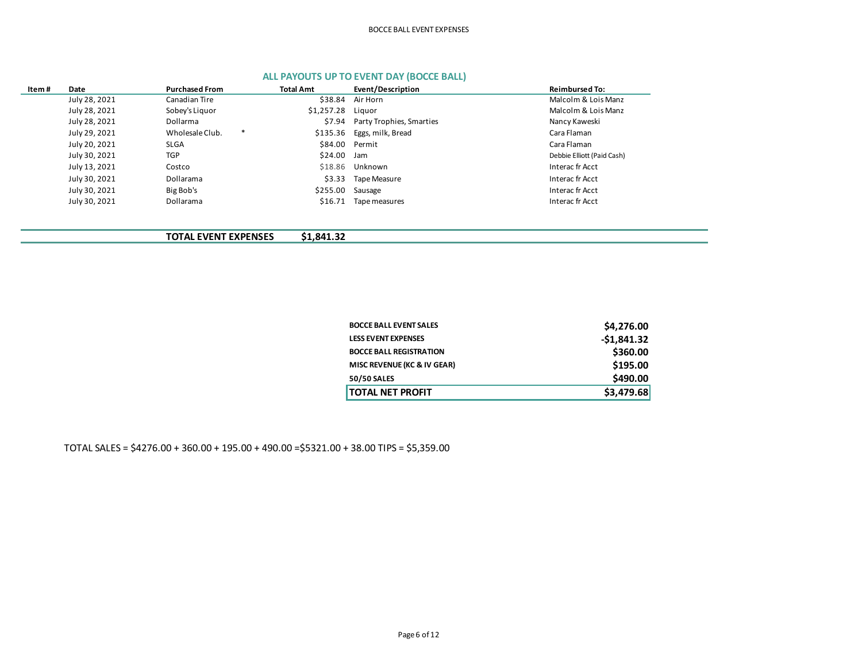## BOCCE BALL EVENT EXPENSES

| Item# | <b>Purchased From</b><br>Date |                 | <b>Total Amt</b> |            | Event/Description        | <b>Reimbursed To:</b>      |
|-------|-------------------------------|-----------------|------------------|------------|--------------------------|----------------------------|
|       | July 28, 2021                 | Canadian Tire   |                  | \$38.84    | Air Horn                 | Malcolm & Lois Manz        |
|       | July 28, 2021                 | Sobey's Liguor  |                  | \$1,257.28 | Liauor                   | Malcolm & Lois Manz        |
|       | July 28, 2021                 | Dollarma        |                  | \$7.94     | Party Trophies, Smarties | Nancy Kaweski              |
|       | July 29, 2021                 | Wholesale Club. | *                | \$135.36   | Eggs, milk, Bread        | Cara Flaman                |
|       | July 20, 2021                 | <b>SLGA</b>     |                  | \$84.00    | Permit                   | Cara Flaman                |
|       | July 30, 2021                 | TGP             |                  | \$24.00    | Jam                      | Debbie Elliott (Paid Cash) |
|       | July 13, 2021                 | Costco          |                  | \$18.86    | Unknown                  | Interac fr Acct            |
|       | July 30, 2021                 | Dollarama       |                  | \$3.33     | Tape Measure             | Interac fr Acct            |
|       | July 30, 2021                 | Big Bob's       |                  | \$255.00   | Sausage                  | Interac fr Acct            |
|       | July 30, 2021                 | Dollarama       |                  | \$16.71    | Tape measures            | Interac fr Acct            |
|       |                               |                 |                  |            |                          |                            |

# **ALL PAYOUTS UP TO EVENT DAY (BOCCE BALL)**

**TOTAL EVENT EXPENSES \$1,841.32**

| <b>TOTAL NET PROFIT</b>        | \$3,479.68   |
|--------------------------------|--------------|
| 50/50 SALES                    | \$490.00     |
| MISC REVENUE (KC & IV GEAR)    | \$195.00     |
| <b>BOCCE BALL REGISTRATION</b> | \$360.00     |
| <b>LESS EVENT EXPENSES</b>     | $-$1,841.32$ |
| <b>BOCCE BALL EVENT SALES</b>  | \$4,276.00   |

TOTAL SALES = \$4276.00 + 360.00 + 195.00 + 490.00 =\$5321.00 + 38.00 TIPS = \$5,359.00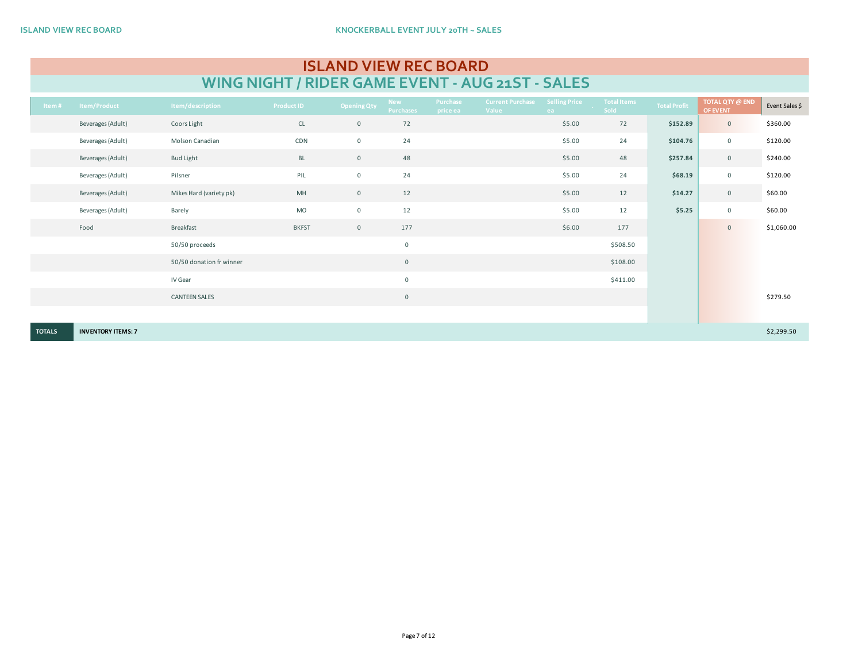| <b>ISLAND VIEW REC BOARD</b>                     |
|--------------------------------------------------|
| WING NIGHT / RIDER GAME EVENT - AUG 21ST - SALES |

| Item#         | <b>Item/Product</b>       | Item/description         | <b>Product ID</b> | <b>Opening Qty</b> | <b>New</b><br><b>Purchases</b> | Purchase<br>price ea | <b>Current Purchase</b><br>Value | Selling Price<br>ea | <b>Total Items</b><br>Sold | <b>Total Profit</b> | <b>TOTAL QTY @ END</b><br>OF EVENT | Event Sales \$ |
|---------------|---------------------------|--------------------------|-------------------|--------------------|--------------------------------|----------------------|----------------------------------|---------------------|----------------------------|---------------------|------------------------------------|----------------|
|               | Beverages (Adult)         | Coors Light              | $\mathsf{CL}$     | $\overline{0}$     | 72                             |                      |                                  | \$5.00              | 72                         | \$152.89            | $\overline{0}$                     | \$360.00       |
|               | Beverages (Adult)         | Molson Canadian          | CDN               | $\mathsf 0$        | 24                             |                      |                                  | \$5.00              | 24                         | \$104.76            | $\overline{0}$                     | \$120.00       |
|               | Beverages (Adult)         | <b>Bud Light</b>         | BL                | $\mathbb O$        | 48                             |                      |                                  | \$5.00              | 48                         | \$257.84            | $\mathbb O$                        | \$240.00       |
|               | Beverages (Adult)         | Pilsner                  | PIL               | $\mathsf 0$        | 24                             |                      |                                  | \$5.00              | 24                         | \$68.19             | $\overline{0}$                     | \$120.00       |
|               | Beverages (Adult)         | Mikes Hard (variety pk)  | MH                | $\mathbb O$        | 12                             |                      |                                  | \$5.00              | 12                         | \$14.27             | $\mathbb O$                        | \$60.00        |
|               | Beverages (Adult)         | Barely                   | <b>MO</b>         | $\mathsf 0$        | 12                             |                      |                                  | \$5.00              | 12                         | \$5.25              | $\overline{0}$                     | \$60.00        |
|               | Food                      | Breakfast                | <b>BKFST</b>      | $\mathsf 0$        | 177                            |                      |                                  | \$6.00              | 177                        |                     | $\mathbf{0}$                       | \$1,060.00     |
|               |                           | 50/50 proceeds           |                   |                    | $\mathsf 0$                    |                      |                                  |                     | \$508.50                   |                     |                                    |                |
|               |                           | 50/50 donation fr winner |                   |                    | $\mathbf 0$                    |                      |                                  |                     | \$108.00                   |                     |                                    |                |
|               |                           | IV Gear                  |                   |                    | $\mathsf{O}\xspace$            |                      |                                  |                     | \$411.00                   |                     |                                    |                |
|               |                           | <b>CANTEEN SALES</b>     |                   |                    | $\mathsf{O}$                   |                      |                                  |                     |                            |                     |                                    | \$279.50       |
|               |                           |                          |                   |                    |                                |                      |                                  |                     |                            |                     |                                    |                |
| <b>TOTALS</b> | <b>INVENTORY ITEMS: 7</b> |                          |                   |                    |                                |                      |                                  |                     |                            |                     |                                    | \$2,299.50     |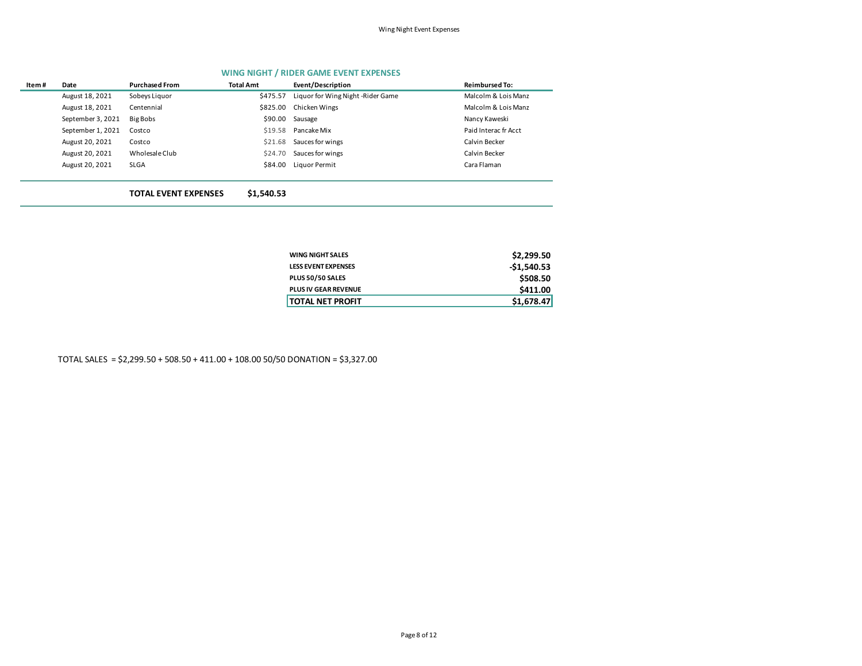### **WING NIGHT / RIDER GAME EVENT EXPENSES**

| Item# | Date              | <b>Purchased From</b>       | <b>Total Amt</b> | Event/Description                 | <b>Reimbursed To:</b> |
|-------|-------------------|-----------------------------|------------------|-----------------------------------|-----------------------|
|       | August 18, 2021   | Sobeys Liquor               | \$475.57         | Liquor for Wing Night -Rider Game | Malcolm & Lois Manz   |
|       | August 18, 2021   | Centennial                  | \$825.00         | Chicken Wings                     | Malcolm & Lois Manz   |
|       | September 3, 2021 | Big Bobs                    | \$90.00          | Sausage                           | Nancy Kaweski         |
|       | September 1, 2021 | Costco                      | \$19.58          | Pancake Mix                       | Paid Interac fr Acct  |
|       | August 20, 2021   | Costco                      | \$21.68          | Sauces for wings                  | Calvin Becker         |
|       | August 20, 2021   | Wholesale Club              | \$24.70          | Sauces for wings                  | Calvin Becker         |
|       | August 20, 2021   | <b>SLGA</b>                 | \$84.00          | Liquor Permit                     | Cara Flaman           |
|       |                   | <b>TOTAL EVENT EXPENSES</b> | \$1,540.53       |                                   |                       |

| WING NIGHT SALES     | \$2,299.50   |
|----------------------|--------------|
| LESS EVENT EXPENSES  | $-51,540.53$ |
| PLUS 50/50 SALES     | \$508.50     |
| PLUS IV GEAR REVENUE | \$411.00     |
| TOTAL NET PROFIT     | \$1,678.47   |

TOTAL SALES = \$2,299.50 + 508.50 + 411.00 + 108.00 50/50 DONATION = \$3,327.00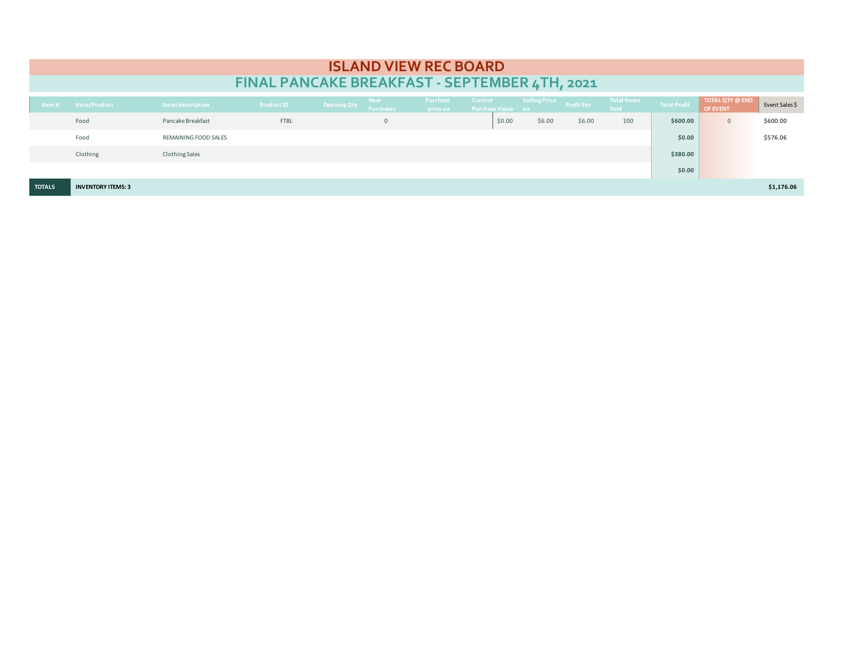|               |                           |                       |                                               |                    |                                | <b>ISLAND VIEW REC BOARD</b> |                                            |                          |        |                            |                     |                                    |                |
|---------------|---------------------------|-----------------------|-----------------------------------------------|--------------------|--------------------------------|------------------------------|--------------------------------------------|--------------------------|--------|----------------------------|---------------------|------------------------------------|----------------|
|               |                           |                       | FINAL PANCAKE BREAKFAST - SEPTEMBER 4TH, 2021 |                    |                                |                              |                                            |                          |        |                            |                     |                                    |                |
| Item#         | Item/Product              | Item/description      | <b>Product ID</b>                             | <b>Opening Qty</b> | <b>New</b><br><b>Purchases</b> | Purchase<br>price ea         | <b>Current</b><br><b>Purchase Value ea</b> | Selling Price Profit Per |        | <b>Total Items</b><br>Sold | <b>Total Profit</b> | <b>TOTAL QTY @ END</b><br>OF EVENT | Event Sales \$ |
|               | Food                      | Pancake Breakfast     | <b>FTBL</b>                                   |                    | $\mathbf 0$                    |                              | \$0.00                                     | \$6.00                   | \$6.00 | 100                        | \$600.00            | $\mathbf{0}$                       | \$600.00       |
|               | Food                      | REMAINING FOOD SALES  |                                               |                    |                                |                              |                                            |                          |        |                            | \$0.00              |                                    | \$576.06       |
|               | Clothing                  | <b>Clothing Sales</b> |                                               |                    |                                |                              |                                            |                          |        |                            | \$380.00            |                                    |                |
|               |                           |                       |                                               |                    |                                |                              |                                            |                          |        |                            | \$0.00              |                                    |                |
| <b>TOTALS</b> | <b>INVENTORY ITEMS: 3</b> |                       |                                               |                    |                                |                              |                                            |                          |        |                            |                     |                                    | \$1,176.06     |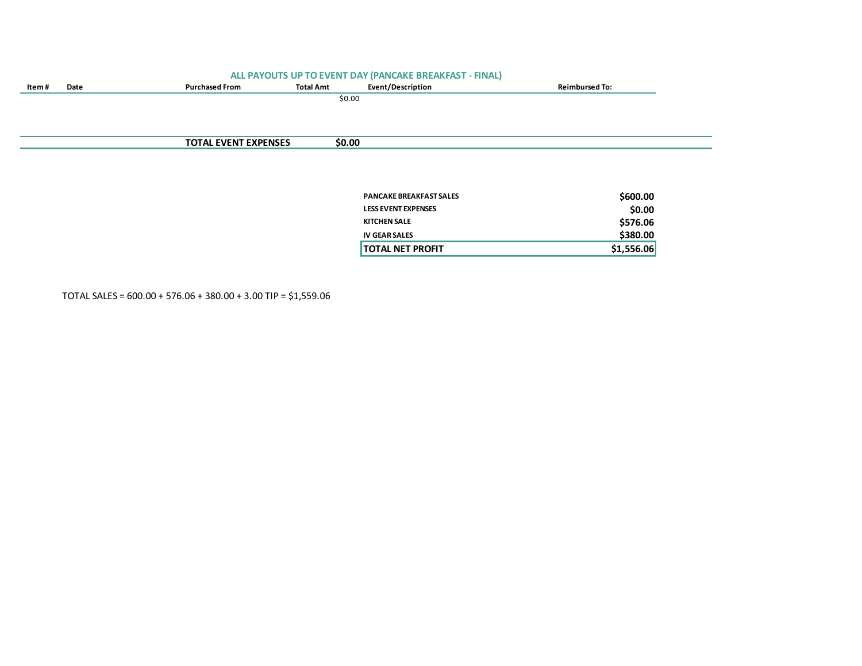|       |      |                             |                  | ALL PAYOUTS UP TO EVENT DAY (PANCAKE BREAKFAST - FINAL) |                       |  |
|-------|------|-----------------------------|------------------|---------------------------------------------------------|-----------------------|--|
| ltem# | Date | <b>Purchased From</b>       | <b>Total Amt</b> | Event/Description                                       | <b>Reimbursed To:</b> |  |
|       |      |                             | \$0.00           |                                                         |                       |  |
|       |      |                             |                  |                                                         |                       |  |
|       |      |                             |                  |                                                         |                       |  |
|       |      |                             |                  |                                                         |                       |  |
|       |      | <b>TOTAL EVENT EXPENSES</b> | \$0.00           |                                                         |                       |  |
|       |      |                             |                  |                                                         |                       |  |
|       |      |                             |                  |                                                         |                       |  |
|       |      |                             |                  |                                                         |                       |  |
|       |      |                             |                  | <b>PANCAKE BREAKFAST SALES</b>                          |                       |  |
|       |      |                             |                  |                                                         | \$600.00              |  |
|       |      |                             |                  | <b>LESS EVENT EXPENSES</b>                              | \$0.00                |  |
|       |      |                             |                  | <b>KITCHEN SALE</b>                                     | \$576.06              |  |
|       |      |                             |                  | <b>IV GEAR SALES</b>                                    | \$380.00              |  |

**TOTAL NET PROFIT 61.556.06** 

TOTAL SALES = 600.00 + 576.06 + 380.00 + 3.00 TIP = \$1,559.06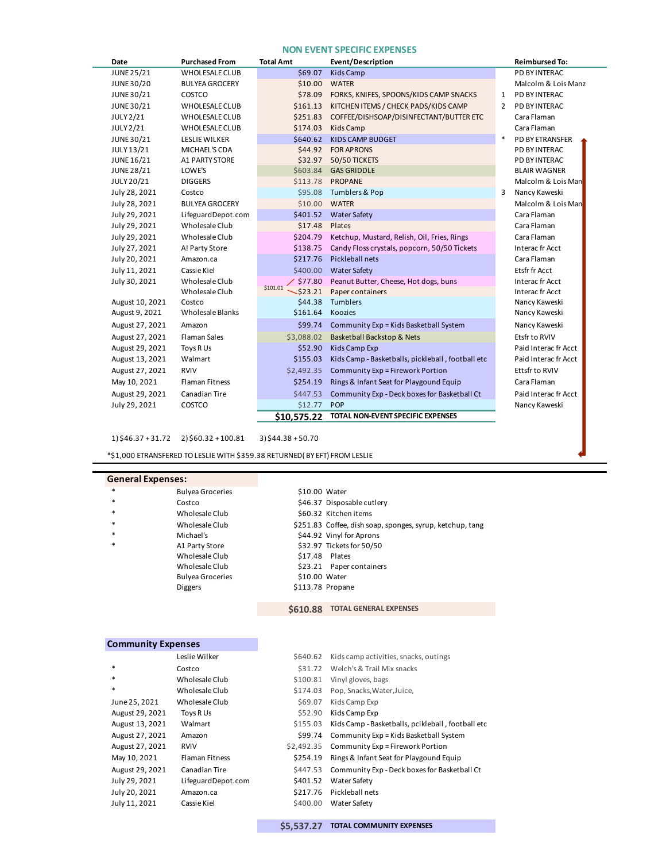## **NON EVENT SPECIFIC EXPENSES**

| Date              | <b>Purchased From</b>   | <b>Total Amt</b>               | Event/Description                                 | <b>Reimbursed To:</b> |
|-------------------|-------------------------|--------------------------------|---------------------------------------------------|-----------------------|
| <b>JUNE 25/21</b> | <b>WHOLESALE CLUB</b>   | \$69.07                        | Kids Camp                                         | PD BY INTERAC         |
| <b>JUNE 30/20</b> | <b>BULYEA GROCERY</b>   | \$10.00                        | <b>WATER</b>                                      | Malcolm & Lois Manz   |
| JUNE 30/21        | COSTCO                  | \$78.09                        | FORKS, KNIFES, SPOONS/KIDS CAMP SNACKS            | PD BY INTERAC<br>1    |
| JUNE 30/21        | <b>WHOLESALE CLUB</b>   | \$161.13                       | KITCHEN ITEMS / CHECK PADS/KIDS CAMP              | PD BY INTERAC<br>2    |
| <b>JULY 2/21</b>  | <b>WHOLESALE CLUB</b>   | \$251.83                       | COFFEE/DISHSOAP/DISINFECTANT/BUTTER ETC           | Cara Flaman           |
| <b>JULY 2/21</b>  | <b>WHOLESALE CLUB</b>   | \$174.03                       | Kids Camp                                         | Cara Flaman           |
| JUNE 30/21        | <b>LESLIE WILKER</b>    | \$640.62                       | <b>KIDS CAMP BUDGET</b>                           | *<br>PD BY ETRANSFER  |
| JULY 13/21        | MICHAEL'S CDA           | \$44.92                        | <b>FOR APRONS</b>                                 | PD BY INTERAC         |
| <b>JUNE 16/21</b> | A1 PARTY STORE          | \$32.97                        | 50/50 TICKETS                                     | PD BY INTERAC         |
| <b>JUNE 28/21</b> | LOWE'S                  | \$603.84                       | <b>GAS GRIDDLE</b>                                | <b>BLAIR WAGNER</b>   |
| JULY 20/21        | <b>DIGGERS</b>          | \$113.78                       | <b>PROPANE</b>                                    | Malcolm & Lois Man    |
| July 28, 2021     | Costco                  | \$95.08                        | Tumblers & Pop                                    | Nancy Kaweski<br>3    |
| July 28, 2021     | <b>BULYEA GROCERY</b>   | \$10.00                        | <b>WATER</b>                                      | Malcolm & Lois Man    |
| July 29, 2021     | LifeguardDepot.com      | \$401.52                       | <b>Water Safety</b>                               | Cara Flaman           |
| July 29, 2021     | Wholesale Club          | \$17.48                        | Plates                                            | Cara Flaman           |
| July 29, 2021     | Wholesale Club          | \$204.79                       | Ketchup, Mustard, Relish, Oil, Fries, Rings       | Cara Flaman           |
| July 27, 2021     | A! Party Store          | \$138.75                       | Candy Floss crystals, popcorn, 50/50 Tickets      | Interac fr Acct       |
| July 20, 2021     | Amazon.ca               | \$217.76                       | Pickleball nets                                   | Cara Flaman           |
| July 11, 2021     | Cassie Kiel             | \$400.00                       | <b>Water Safety</b>                               | Etsfr fr Acct         |
| July 30, 2021     | Wholesale Club          | \$77.80                        | Peanut Butter, Cheese, Hot dogs, buns             | Interac fr Acct       |
|                   | Wholesale Club          | \$101.01<br>$\frac{523.21}{5}$ | Paper containers                                  | Interac fr Acct       |
| August 10, 2021   | Costco                  | \$44.38                        | <b>Tumblers</b>                                   | Nancy Kaweski         |
| August 9, 2021    | <b>Wholesale Blanks</b> | \$161.64                       | Koozies                                           | Nancy Kaweski         |
| August 27, 2021   | Amazon                  | \$99.74                        | Community Exp = Kids Basketball System            | Nancy Kaweski         |
| August 27, 2021   | <b>Flaman Sales</b>     | \$3,088.02                     | <b>Basketball Backstop &amp; Nets</b>             | Etsfr to RVIV         |
| August 29, 2021   | Toys R Us               | \$52.90                        | Kids Camp Exp                                     | Paid Interac fr Acct  |
| August 13, 2021   | Walmart                 | \$155.03                       | Kids Camp - Basketballs, pickleball, football etc | Paid Interac fr Acct  |
| August 27, 2021   | <b>RVIV</b>             | \$2,492.35                     | Community Exp = Firework Portion                  | Ettsfr to RVIV        |
| May 10, 2021      | <b>Flaman Fitness</b>   | \$254.19                       | Rings & Infant Seat for Playgound Equip           | Cara Flaman           |
| August 29, 2021   | Canadian Tire           | \$447.53                       | Community Exp - Deck boxes for Basketball Ct      | Paid Interac fr Acct  |
| July 29, 2021     | COSTCO                  | \$12.77                        | POP                                               | Nancy Kaweski         |
|                   |                         | \$10.575.22                    | TOTAL NON-EVENT SPECIFIC EXPENSES                 |                       |

 $1)$ \$46.37 + 31.72 2)\$60.32 + 100.81 3)\$44.38 + 50.70

\*\$1,000 ETRANSFERED TO LESLIE WITH \$359.38 RETURNED( BY EFT) FROM LESLIE

### **General Expenses:**

| $\ast$ | <b>Bulyea Groceries</b> | \$10.00 Water |                               |
|--------|-------------------------|---------------|-------------------------------|
| $\ast$ | Costco                  |               | \$46.37 Disposable cutlery    |
| $\ast$ | Wholesale Club          |               | \$60.32 Kitchen items         |
| $\ast$ | Wholesale Club          |               | \$251.83 Coffee, dish soap, s |
| $\ast$ | Michael's               |               | \$44.92 Vinyl for Aprons      |
| $\ast$ | A1 Party Store          |               | \$32.97 Tickets for 50/50     |
|        | Wholesale Club          |               | \$17.48 Plates                |
|        | Wholesale Club          |               | \$23.21 Paper containers      |
|        | <b>Bulyea Groceries</b> | \$10.00 Water |                               |
|        | <b>Diggers</b>          |               | \$113.78 Propane              |
|        |                         |               |                               |

| $\ast$ | <b>Bulyea Groceries</b> | \$10.00 Water                                             |
|--------|-------------------------|-----------------------------------------------------------|
|        |                         |                                                           |
| $\ast$ | Costco                  | \$46.37 Disposable cutlery                                |
| $\ast$ | Wholesale Club          | \$60.32 Kitchen items                                     |
| $\ast$ | Wholesale Club          | \$251.83 Coffee, dish soap, sponges, syrup, ketchup, tang |
| $\ast$ | Michael's               | \$44.92 Vinyl for Aprons                                  |
| $\ast$ | A1 Party Store          | \$32.97 Tickets for 50/50                                 |
|        | Wholesale Club          | \$17.48 Plates                                            |
|        | Wholesale Club          | \$23.21 Paper containers                                  |
|        | <b>Bulyea Groceries</b> | \$10.00 Water                                             |
|        | <b>Diggers</b>          | \$113.78 Propane                                          |
|        |                         |                                                           |

**\$610.88 TOTAL GENERAL EXPENSES**

# **Community Expenses**

|                 | Leslie Wilker         | \$640.62   | Kids camp activities, snacks, outings             |
|-----------------|-----------------------|------------|---------------------------------------------------|
| $\ast$          | Costco                | \$31.72    | Welch's & Trail Mix snacks                        |
| $\ast$          | Wholesale Club        | \$100.81   | Vinyl gloves, bags                                |
| $\ast$          | Wholesale Club        | \$174.03   | Pop, Snacks, Water, Juice,                        |
| June 25, 2021   | Wholesale Club        | \$69.07    | Kids Camp Exp                                     |
| August 29, 2021 | Toys R Us             | \$52.90    | Kids Camp Exp                                     |
| August 13, 2021 | Walmart               | \$155.03   | Kids Camp - Basketballs, pcikleball, football etc |
| August 27, 2021 | Amazon                | \$99.74    | Community Exp = Kids Basketball System            |
| August 27, 2021 | <b>RVIV</b>           | \$2.492.35 | Community Exp = Firework Portion                  |
| May 10, 2021    | <b>Flaman Fitness</b> | \$254.19   | Rings & Infant Seat for Playgound Equip           |
| August 29, 2021 | Canadian Tire         | \$447.53   | Community Exp - Deck boxes for Basketball Ct      |
| July 29, 2021   | LifeguardDepot.com    | \$401.52   | Water Safety                                      |
| July 20, 2021   | Amazon.ca             | \$217.76   | Pickleball nets                                   |
| July 11, 2021   | Cassie Kiel           | \$400.00   | Water Safety                                      |
|                 |                       |            |                                                   |

**\$5,537.27 TOTAL COMMUNITY EXPENSES**